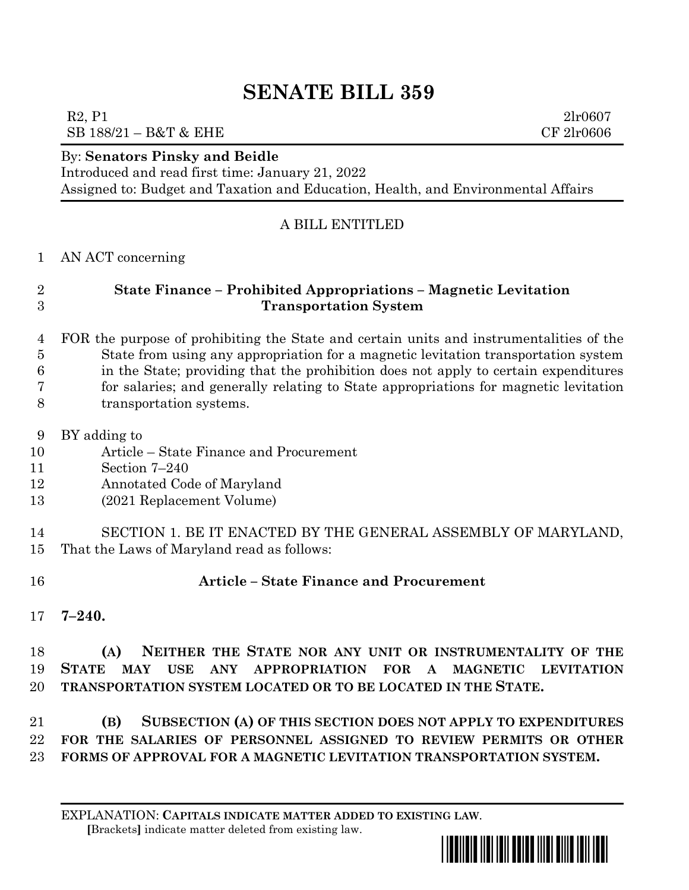# **SENATE BILL 359**

SB 188/21 – B&T & EHE CF 2lr0606

#### By: **Senators Pinsky and Beidle**

Introduced and read first time: January 21, 2022

Assigned to: Budget and Taxation and Education, Health, and Environmental Affairs

#### A BILL ENTITLED

AN ACT concerning

## **State Finance – Prohibited Appropriations – Magnetic Levitation Transportation System**

- FOR the purpose of prohibiting the State and certain units and instrumentalities of the State from using any appropriation for a magnetic levitation transportation system in the State; providing that the prohibition does not apply to certain expenditures for salaries; and generally relating to State appropriations for magnetic levitation transportation systems.
- BY adding to
- Article State Finance and Procurement
- Section 7–240
- Annotated Code of Maryland
- (2021 Replacement Volume)

 SECTION 1. BE IT ENACTED BY THE GENERAL ASSEMBLY OF MARYLAND, That the Laws of Maryland read as follows:

### **Article – State Finance and Procurement**

**7–240.**

 **(A) NEITHER THE STATE NOR ANY UNIT OR INSTRUMENTALITY OF THE STATE MAY USE ANY APPROPRIATION FOR A MAGNETIC LEVITATION TRANSPORTATION SYSTEM LOCATED OR TO BE LOCATED IN THE STATE.**

 **(B) SUBSECTION (A) OF THIS SECTION DOES NOT APPLY TO EXPENDITURES FOR THE SALARIES OF PERSONNEL ASSIGNED TO REVIEW PERMITS OR OTHER FORMS OF APPROVAL FOR A MAGNETIC LEVITATION TRANSPORTATION SYSTEM.**